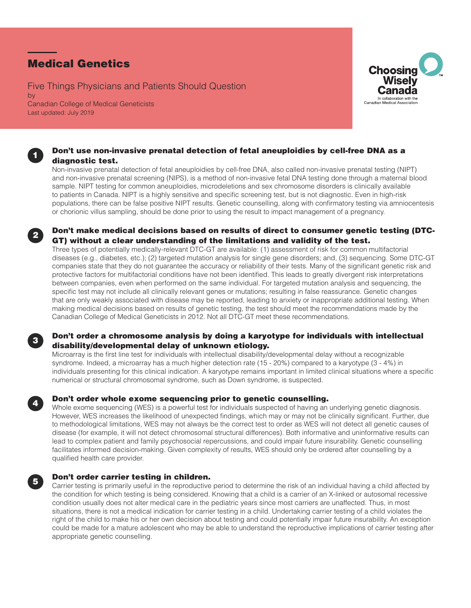# Medical Genetics

1

2

3

4

5

Five Things Physicians and Patients Should Question by Canadian College of Medical Geneticists Last updated: July 2019



# Don't use non-invasive prenatal detection of fetal aneuploidies by cell-free DNA as a diagnostic test.

Non-invasive prenatal detection of fetal aneuploidies by cell-free DNA, also called non-invasive prenatal testing (NIPT) and non-invasive prenatal screening (NIPS), is a method of non-invasive fetal DNA testing done through a maternal blood sample. NIPT testing for common aneuploidies, microdeletions and sex chromosome disorders is clinically available to patients in Canada. NIPT is a highly sensitive and specific screening test, but is not diagnostic. Even in high-risk populations, there can be false positive NIPT results. Genetic counselling, along with confirmatory testing via amniocentesis or chorionic villus sampling, should be done prior to using the result to impact management of a pregnancy.



Three types of potentially medically-relevant DTC-GT are available: (1) assessment of risk for common multifactorial diseases (e.g., diabetes, etc.); (2) targeted mutation analysis for single gene disorders; and, (3) sequencing. Some DTC-GT companies state that they do not guarantee the accuracy or reliability of their tests. Many of the significant genetic risk and protective factors for multifactorial conditions have not been identified. This leads to greatly divergent risk interpretations between companies, even when performed on the same individual. For targeted mutation analysis and sequencing, the specific test may not include all clinically relevant genes or mutations; resulting in false reassurance. Genetic changes that are only weakly associated with disease may be reported, leading to anxiety or inappropriate additional testing. When making medical decisions based on results of genetic testing, the test should meet the recommendations made by the Canadian College of Medical Geneticists in 2012. Not all DTC-GT meet these recommendations.

# Don't order a chromosome analysis by doing a karyotype for individuals with intellectual disability/developmental delay of unknown etiology.

Microarray is the first line test for individuals with intellectual disability/developmental delay without a recognizable syndrome. Indeed, a microarray has a much higher detection rate (15 - 20%) compared to a karyotype (3 - 4%) in individuals presenting for this clinical indication. A karyotype remains important in limited clinical situations where a specific numerical or structural chromosomal syndrome, such as Down syndrome, is suspected.

## Don't order whole exome sequencing prior to genetic counselling.

Whole exome sequencing (WES) is a powerful test for individuals suspected of having an underlying genetic diagnosis. However, WES increases the likelihood of unexpected findings, which may or may not be clinically significant. Further, due to methodological limitations, WES may not always be the correct test to order as WES will not detect all genetic causes of disease (for example, it will not detect chromosomal structural differences). Both informative and uninformative results can lead to complex patient and family psychosocial repercussions, and could impair future insurability. Genetic counselling facilitates informed decision-making. Given complexity of results, WES should only be ordered after counselling by a qualified health care provider.

## Don't order carrier testing in children.

Carrier testing is primarily useful in the reproductive period to determine the risk of an individual having a child affected by the condition for which testing is being considered. Knowing that a child is a carrier of an X-linked or autosomal recessive condition usually does not alter medical care in the pediatric years since most carriers are unaffected. Thus, in most situations, there is not a medical indication for carrier testing in a child. Undertaking carrier testing of a child violates the right of the child to make his or her own decision about testing and could potentially impair future insurability. An exception could be made for a mature adolescent who may be able to understand the reproductive implications of carrier testing after appropriate genetic counselling.